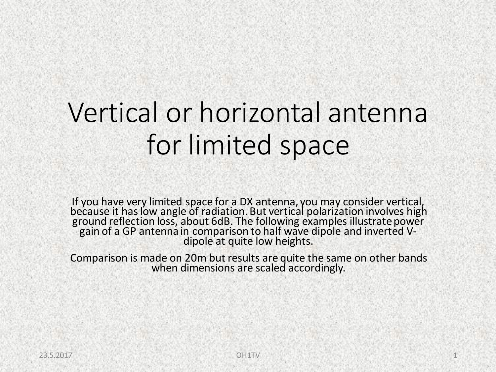# Vertical or horizontal antenna for limited space

If you have very limited space for a DX antenna, you may consider vertical, because it has low angle of radiation. But vertical polarization involves high ground reflection loss, about 6dB. The following examples illustrate power gain of a GP antenna in comparison to half wave dipole and inverted Vdipole at quite low heights.

Comparison is made on 20m but results are quite the same on other bands when dimensions are scaled accordingly.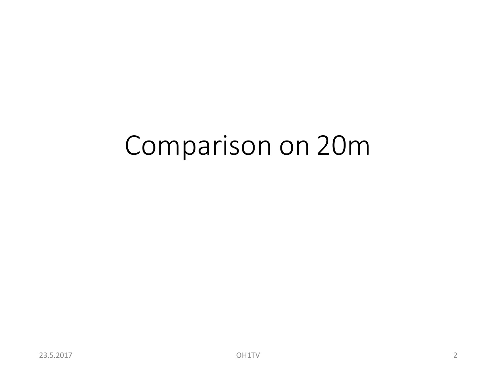# Comparison on 20m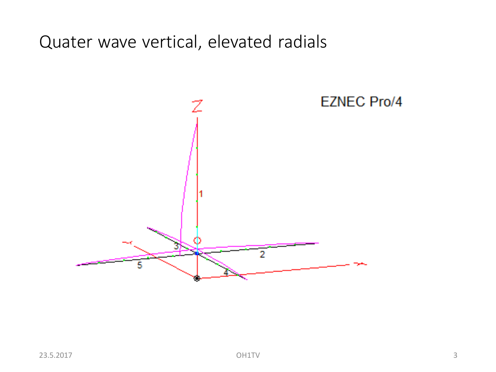Quater wave vertical, elevated radials

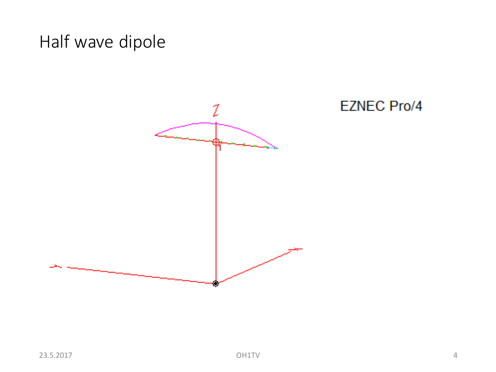# Half wave dipole

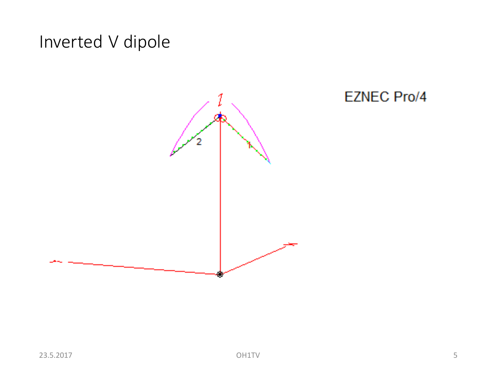# Inverted V dipole



### **EZNEC Pro/4**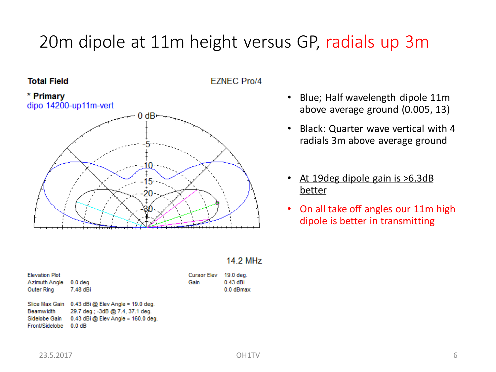# 20m dipole at 11m height versus GP, radials up 3m

### **Total Field**





- Blue; Half wavelength dipole 11m above average ground (0.005, 13)
- Black: Quarter wave vertical with 4 radials 3m above average ground
- At 19 deg dipole gain is > 6.3 dB better
- On all take off angles our 11m high dipole is better in transmitting

### **14.2 MHz**

 $0.43$  dBi 0.0 dBmax

| <b>Elevation Plot</b><br>Azimuth Angle<br>Outer Ring | $0.0$ deg.<br>7.48 dBi                                                                                                              | <b>Cursor Elev</b><br>Gain | 19.0 deg.<br>$0.43$ dBi<br>0.0 dBma |
|------------------------------------------------------|-------------------------------------------------------------------------------------------------------------------------------------|----------------------------|-------------------------------------|
| Beamwidth<br>Cidalaha Oais,                          | Slice Max Gain 0.43 dBi @ Elev Angle = 19.0 deg.<br>29.7 deg.; -3dB @ 7.4, 37.1 deg.<br>$0.42$ dBi $\otimes$ Elev Angle – 480.0 deg |                            |                                     |

Sidelobe Gain 0.43 dBi @ Elev Angle = 160.0 deg. Front/Sidelobe 0.0 dB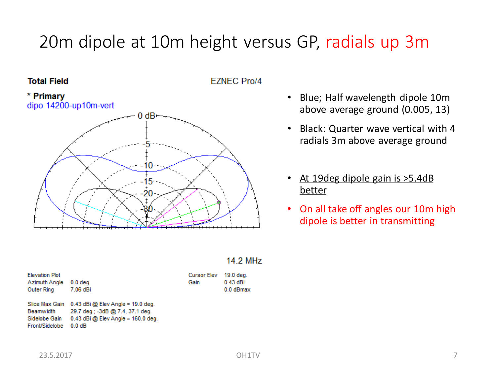# 20m dipole at 10m height versus GP, radials up 3m

### **Total Field**





- Blue; Half wavelength dipole 10m above average ground (0.005, 13)
- Black: Quarter wave vertical with 4 radials 3m above average ground
- At 19 deg dipole gain is > 5.4 dB better
- On all take off angles our 10m high dipole is better in transmitting

#### **14.2 MHz**

| <b>Elevation Plot</b><br>Azimuth Angle<br>Outer Ring | $0.0$ deg.<br>7.06 dBi                                                                                            | Cursor<br>Gain |
|------------------------------------------------------|-------------------------------------------------------------------------------------------------------------------|----------------|
| Slice Max Gain<br><b>Beamwidth</b><br>Sidelobe Gain  | $0.43$ dBi @ Elev Angle = 19.0 deg.<br>29.7 deg.; -3dB @ 7.4, 37.1 deg.<br>$0.43$ dBi $@$ Elev Angle = 160.0 deg. |                |

Front/Sidelobe 0.0 dB

Elev 19.0 deg.  $0.43$  dBi 0.0 dBmax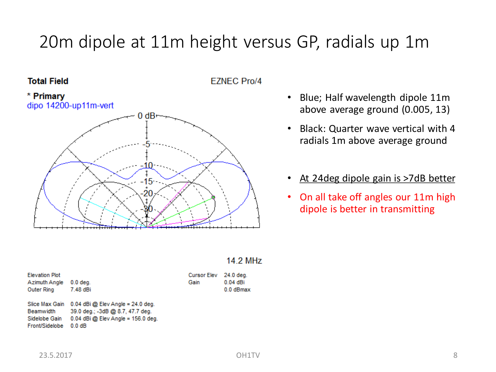# 20m dipole at 11m height versus GP, radials up 1m

### **Total Field**





- Blue; Half wavelength dipole 11m above average ground (0.005, 13)
- Black: Quarter wave vertical with 4 radials 1m above average ground
- At 24 deg dipole gain is >7 dB better
- On all take off angles our 11m high dipole is better in transmitting

### **14.2 MHz**

| <b>Elevation Plot</b><br>Azimuth Angle<br>Outer Ring | $0.0$ deg.<br>7.48 dBi                                                  | <b>Cursor E</b><br>Gain |
|------------------------------------------------------|-------------------------------------------------------------------------|-------------------------|
| Slice Max Gain<br>Beamwidth                          | $0.04$ dBi @ Elev Angle = 24.0 deg.<br>39.0 deg.; -3dB @ 8.7, 47.7 deg. |                         |

Sidelobe Gain 0.04 dBi @ Elev Angle = 156.0 deg. Front/Sidelobe 0.0 dB

Elev 24.0 deg.

 $0.04$  dBi 0.0 dBmax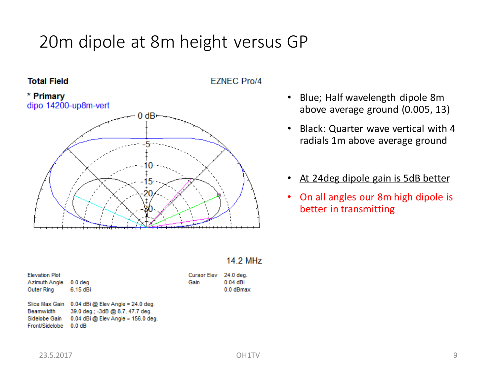# 20m dipole at 8m height versus GP



**EZNEC Pro/4** 



- Blue; Half wavelength dipole 8m above average ground (0.005, 13)
- Black: Quarter wave vertical with 4 radials 1m above average ground
- At 24 deg dipole gain is 5 dB better
- On all angles our 8m high dipole is better in transmitting

### **14.2 MHz**

| <b>Elevation Plot</b><br>Azimuth Angle<br>Outer Ring | $0.0$ deg.<br>6.15 dBi                                                                                            | Cur<br>Gai |
|------------------------------------------------------|-------------------------------------------------------------------------------------------------------------------|------------|
| Slice Max Gain<br><b>Beamwidth</b><br>Sidelobe Gain  | $0.04$ dBi @ Elev Angle = 24.0 deg.<br>39.0 deg.; -3dB @ 8.7, 47.7 deg.<br>$0.04$ dBi $@$ Elev Angle = 156.0 deg. |            |

Front/Sidelobe 0.0 dB

24.0 deg. rsor Elev  $0.04$  dBi in 0.0 dBmax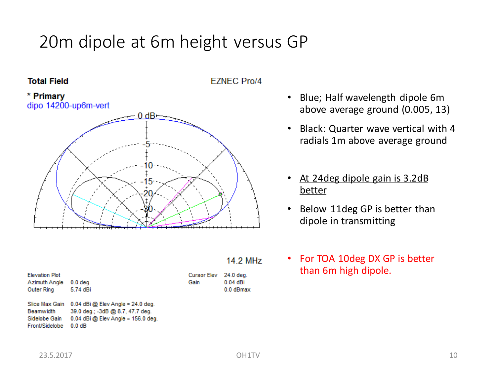# 20m dipole at 6m height versus GP



**EZNEC Pro/4** 



- Blue; Half wavelength dipole 6m above average ground (0.005, 13)
- Black: Quarter wave vertical with 4 radials 1m above average ground
- At 24deg dipole gain is 3.2dB better
- Below 11deg GP is better than dipole in transmitting

| For TOA 10deg DX GP is better |
|-------------------------------|
| than 6m high dipole.          |

| <b>Elevation Plot</b> |            |
|-----------------------|------------|
| Azimuth Angle         | $0.0$ deg. |
| <b>Outer Ring</b>     | 5.74 dBi   |

Slice Max Gain 0.04 dBi @ Elev Angle = 24.0 deg. Beamwidth 39.0 deg.; -3dB @ 8.7, 47.7 deg. Sidelobe Gain 0.04 dBi @ Elev Angle = 156.0 deg. Front/Sidelobe 0.0 dB

23.5.2017 10

**14.2 MHz** 

24.0 deg.

 $0.04$  dBi 0.0 dBmax

**Cursor Elev** 

Gain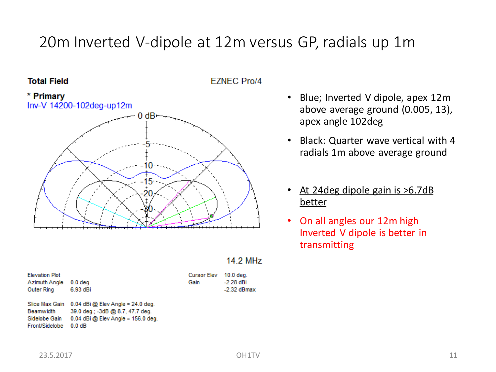### 20m Inverted V-dipole at 12m versus GP, radials up 1m

### **Total Field**







| $0.0$ deg. |
|------------|
| 6.93 dBi   |
|            |

Slice Max Gain 0.04 dBi @ Elev Angle = 24.0 deg. Beamwidth 39.0 deg.; -3dB @ 8.7, 47.7 deg. Sidelobe Gain 0.04 dBi @ Elev Angle = 156.0 deg. Front/Sidelobe 0.0 dB

| B٧ | $10.0$ deg. |
|----|-------------|
|    | -2.28 dBi   |
|    | -2.32 dBmax |

Gain

• Blue; Inverted V dipole, apex 12m above average ground (0.005, 13), apex angle 102deg

- Black: Quarter wave vertical with 4 radials 1m above average ground
- At 24 deg dipole gain is >6.7 dB better
- On all angles our 12m high Inverted V dipole is better in transmitting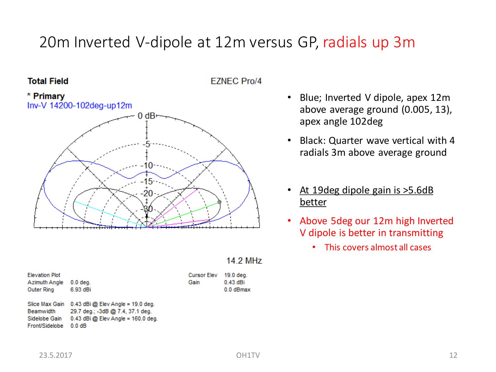### 20m Inverted V-dipole at 12m versus GP, radials up 3m

### **Total Field**





### • Blue; Inverted V dipole, apex 12m above average ground (0.005, 13), apex angle 102deg

- Black: Quarter wave vertical with 4 radials 3m above average ground
- At 19 deg dipole gain is > 5.6 dB better
- Above 5deg our 12m high Inverted V dipole is better in transmitting
	- This covers almost all cases

| Azimuth Angle     | $0.0$ deg.                          |
|-------------------|-------------------------------------|
| <b>Outer Ring</b> | 6.93 dBi                            |
| Slice Max Gain    | $0.43$ dBi @ Elev Angle = 19.0 deg. |
| <b>Beamwidth</b>  | 29.7 deg.; -3dB @ 7.4, 37.1 deg.    |

B q. Sidelobe Gain  $0.43$  dBi @ Elev Angle = 160.0 deg. Front/Sidelobe 0.0 dB

#### **14.2 MHz**

19.0 deg.

 $0.43$  dBi

0.0 dBmax

**Cursor Elev** 

Gain

**Elevation Plot**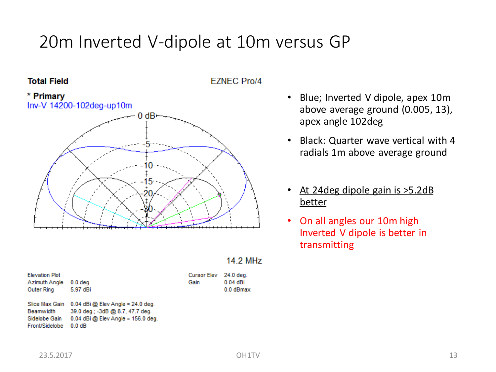# 20m Inverted V-dipole at 10m versus GP

### **Total Field**





**14.2 MHz Elevation Plot Cursor Elev** 24.0 deg. Azimuth Angle 0.0 deg. Gain  $0.04$  dBi Outer Ring 5.97 dBi 0.0 dBmax Slice Max Gain 0.04 dBi @ Elev Angle = 24.0 deg. 39.0 deg.; -3dB @ 8.7, 47.7 deg.

Beamwidth Sidelobe Gain 0.04 dBi @ Elev Angle = 156.0 deg. Front/Sidelobe 0.0 dB

- Blue; Inverted V dipole, apex 10m above average ground (0.005, 13), apex angle 102deg
- Black: Quarter wave vertical with 4 radials 1m above average ground
- At 24 deg dipole gain is > 5.2 dB better
- On all angles our 10m high Inverted V dipole is better in transmitting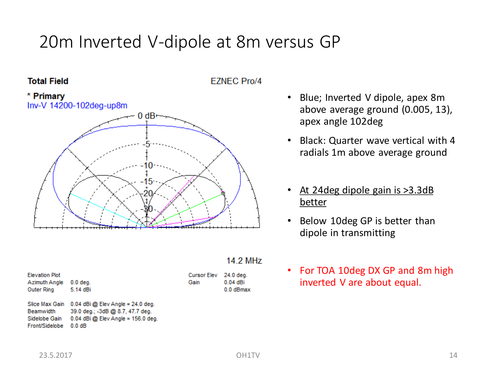# 20m Inverted V-dipole at 8m versus GP

### **Total Field**

**EZNEC Pro/4** 



**14.2 MHz Cursor Elev** 24.0 deg. Gain  $0.04$  dBi 0.0 dBmax

• Blue; Inverted V dipole, apex 8m above average ground (0.005, 13), apex angle 102deg

- Black: Quarter wave vertical with 4 radials 1m above average ground
- At 24 deg dipole gain is > 3.3 dB better
- Below 10deg GP is better than dipole in transmitting
- For TOA 10deg DX GP and 8m high inverted V are about equal.

| Azimuth Angle | $0.0$ deg. |
|---------------|------------|
| Outer Ring    | 5.14 dBi   |
|               |            |

**Elevation Plot** 

Slice Max Gain 0.04 dBi @ Elev Angle = 24.0 deg. Beamwidth 39.0 deg.; -3dB @ 8.7, 47.7 deg. Sidelobe Gain 0.04 dBi @ Elev Angle = 156.0 deg. Front/Sidelobe 0.0 dB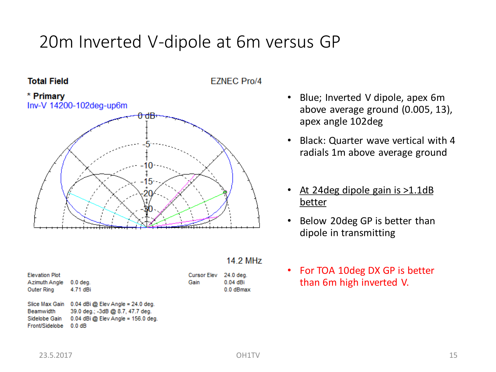# 20m Inverted V-dipole at 6m versus GP







 $0.04$  dBi 0.0 dBmax

| <b>Elevation Plot</b><br>Azimuth Angle 0.0 deg.<br>Outer Ring 4.71 dBi |                                                  | Cursor Elev 24.0 deg.<br>Gain | $0.04$ dBi<br>0.0 dBma |  |
|------------------------------------------------------------------------|--------------------------------------------------|-------------------------------|------------------------|--|
|                                                                        | Slice Max Gain 0.04 dBi @ Elev Angle = 24.0 deg. |                               |                        |  |

Beamwidth 39.0 deg.; -3dB @ 8.7, 47.7 deg. 0.04 dBi @ Elev Angle = 156.0 deg. Sidelobe Gain Front/Sidelobe 0.0 dB

- Blue; Inverted V dipole, apex 6m above average ground (0.005, 13), apex angle 102deg
- Black: Quarter wave vertical with 4 radials 1m above average ground
- At 24 deg dipole gain is > 1.1 dB better
- Below 20deg GP is better than dipole in transmitting
- For TOA 10deg DX GP is better than 6m high inverted V.

23.5.2017 15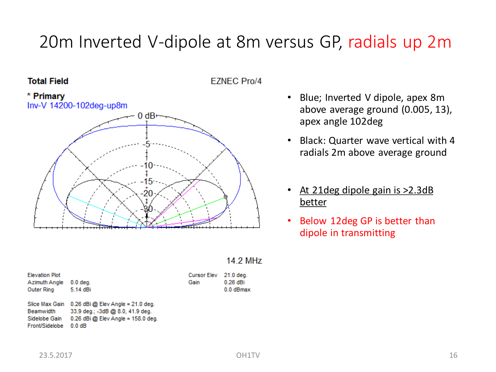# 20m Inverted V-dipole at 8m versus GP, radials up 2m

### **Total Field**

**EZNEC Pro/4** 



- Blue; Inverted V dipole, apex 8m above average ground (0.005, 13), apex angle 102deg
- Black: Quarter wave vertical with 4 radials 2m above average ground
- At 21 deg dipole gain is > 2.3 dB better
- Below 12deg GP is better than dipole in transmitting

### **14.2 MHz**

| <b>Elevation Plot</b><br>Azimuth Angle<br>Outer Ring | $0.0$ deg.<br>5.14 dBi                                                                                            | <b>Cursor Ek</b><br>Gain |
|------------------------------------------------------|-------------------------------------------------------------------------------------------------------------------|--------------------------|
| Slice Max Gain<br><b>Beamwidth</b><br>Sidelobe Gain  | $0.26$ dBi @ Elev Angle = 21.0 deg.<br>33.9 deg.; -3dB @ 8.0, 41.9 deg.<br>$0.26$ dBi $@$ Elev Angle = 158.0 deg. |                          |

Front/Sidelobe 0.0 dB

lev 21.0 deg. 0.26 dBi 0.0 dBmax